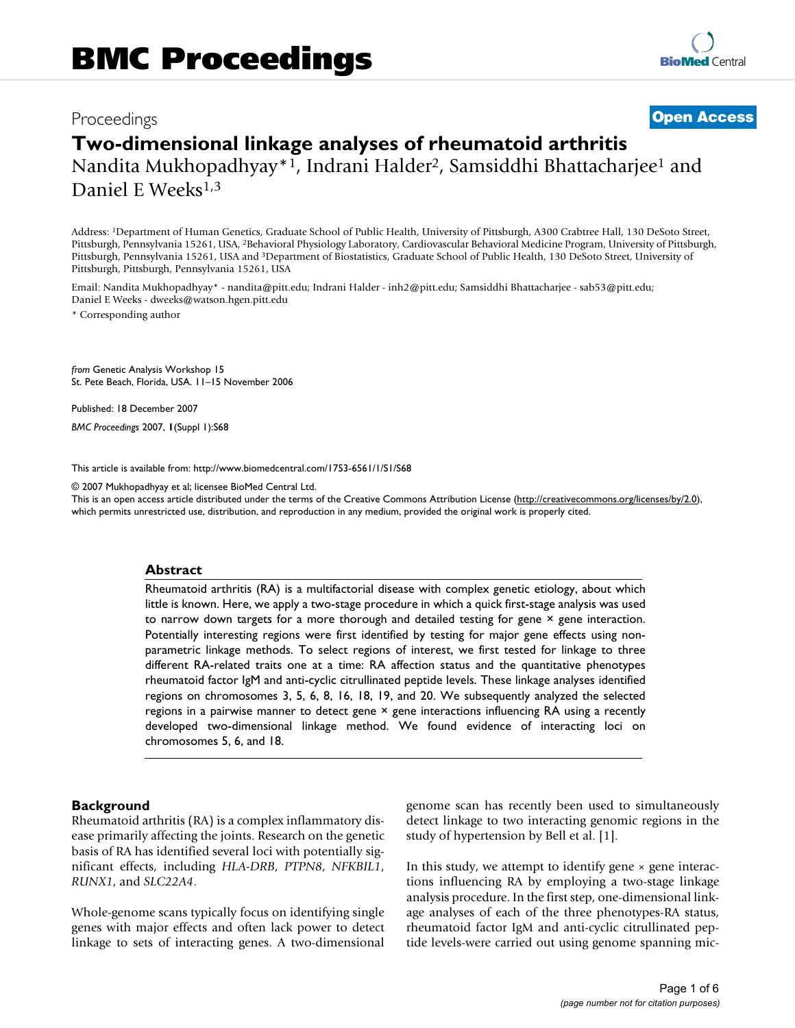## Proceedings **[Open Access](http://www.biomedcentral.com/info/about/charter/)**

# **Two-dimensional linkage analyses of rheumatoid arthritis** Nandita Mukhopadhyay\*1, Indrani Halder<sup>2</sup>, Samsiddhi Bhattacharjee<sup>1</sup> and

Daniel E Weeks<sup>1,3</sup>

Address: 1Department of Human Genetics, Graduate School of Public Health, University of Pittsburgh, A300 Crabtree Hall, 130 DeSoto Street, Pittsburgh, Pennsylvania 15261, USA, 2Behavioral Physiology Laboratory, Cardiovascular Behavioral Medicine Program, University of Pittsburgh, Pittsburgh, Pennsylvania 15261, USA and 3Department of Biostatistics, Graduate School of Public Health, 130 DeSoto Street, University of Pittsburgh, Pittsburgh, Pennsylvania 15261, USA

Email: Nandita Mukhopadhyay\* - nandita@pitt.edu; Indrani Halder - inh2@pitt.edu; Samsiddhi Bhattacharjee - sab53@pitt.edu; Daniel E Weeks - dweeks@watson.hgen.pitt.edu

\* Corresponding author

*from* Genetic Analysis Workshop 15 St. Pete Beach, Florida, USA. 11–15 November 2006

Published: 18 December 2007

*BMC Proceedings* 2007, **1**(Suppl 1):S68

[This article is available from: http://www.biomedcentral.com/1753-6561/1/S1/S68](http://www.biomedcentral.com/1753-6561/1/S1/S68)

© 2007 Mukhopadhyay et al; licensee BioMed Central Ltd.

This is an open access article distributed under the terms of the Creative Commons Attribution License [\(http://creativecommons.org/licenses/by/2.0\)](http://creativecommons.org/licenses/by/2.0), which permits unrestricted use, distribution, and reproduction in any medium, provided the original work is properly cited.

#### **Abstract**

Rheumatoid arthritis (RA) is a multifactorial disease with complex genetic etiology, about which little is known. Here, we apply a two-stage procedure in which a quick first-stage analysis was used to narrow down targets for a more thorough and detailed testing for gene  $\times$  gene interaction. Potentially interesting regions were first identified by testing for major gene effects using nonparametric linkage methods. To select regions of interest, we first tested for linkage to three different RA-related traits one at a time: RA affection status and the quantitative phenotypes rheumatoid factor IgM and anti-cyclic citrullinated peptide levels. These linkage analyses identified regions on chromosomes 3, 5, 6, 8, 16, 18, 19, and 20. We subsequently analyzed the selected regions in a pairwise manner to detect gene × gene interactions influencing RA using a recently developed two-dimensional linkage method. We found evidence of interacting loci on chromosomes 5, 6, and 18.

#### **Background**

Rheumatoid arthritis (RA) is a complex inflammatory disease primarily affecting the joints. Research on the genetic basis of RA has identified several loci with potentially significant effects, including *HLA-DRB*, *PTPN8*, *NFKBIL1*, *RUNX1*, and *SLC22A4*.

Whole-genome scans typically focus on identifying single genes with major effects and often lack power to detect linkage to sets of interacting genes. A two-dimensional genome scan has recently been used to simultaneously detect linkage to two interacting genomic regions in the study of hypertension by Bell et al. [1].

In this study, we attempt to identify gene  $\times$  gene interactions influencing RA by employing a two-stage linkage analysis procedure. In the first step, one-dimensional linkage analyses of each of the three phenotypes-RA status, rheumatoid factor IgM and anti-cyclic citrullinated peptide levels-were carried out using genome spanning mic-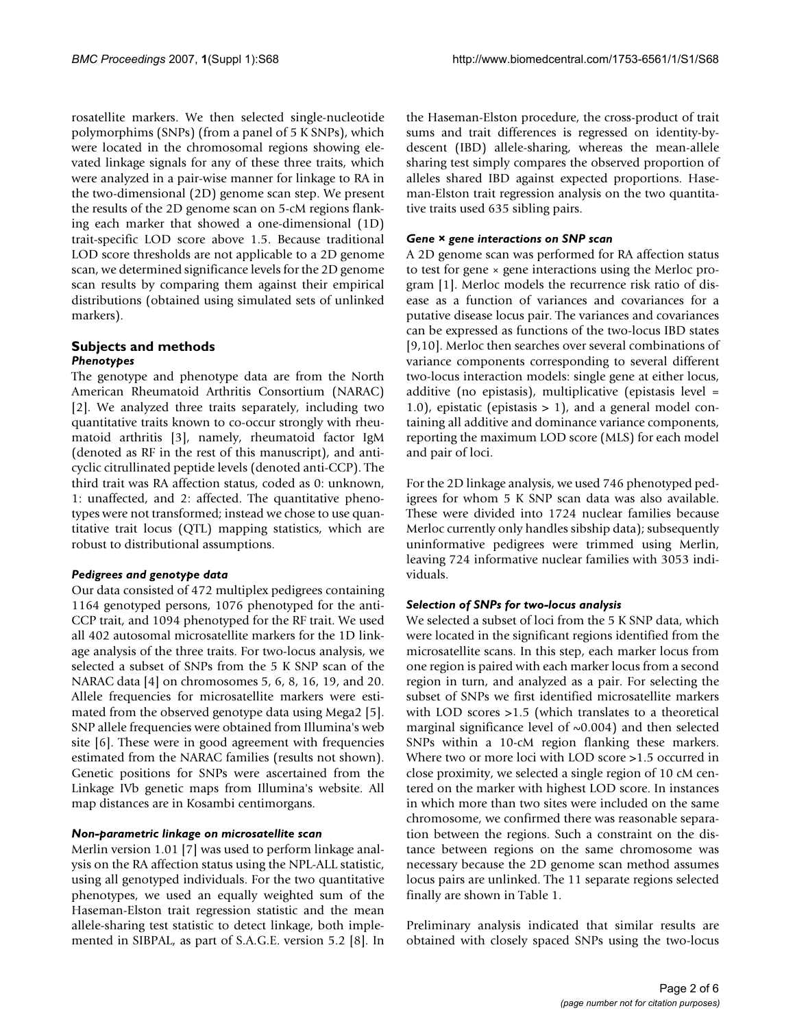rosatellite markers. We then selected single-nucleotide polymorphims (SNPs) (from a panel of 5 K SNPs), which were located in the chromosomal regions showing elevated linkage signals for any of these three traits, which were analyzed in a pair-wise manner for linkage to RA in the two-dimensional (2D) genome scan step. We present the results of the 2D genome scan on 5-cM regions flanking each marker that showed a one-dimensional (1D) trait-specific LOD score above 1.5. Because traditional LOD score thresholds are not applicable to a 2D genome scan, we determined significance levels for the 2D genome scan results by comparing them against their empirical distributions (obtained using simulated sets of unlinked markers).

#### **Subjects and methods** *Phenotypes*

The genotype and phenotype data are from the North American Rheumatoid Arthritis Consortium (NARAC) [2]. We analyzed three traits separately, including two quantitative traits known to co-occur strongly with rheumatoid arthritis [3], namely, rheumatoid factor IgM (denoted as RF in the rest of this manuscript), and anticyclic citrullinated peptide levels (denoted anti-CCP). The third trait was RA affection status, coded as 0: unknown, 1: unaffected, and 2: affected. The quantitative phenotypes were not transformed; instead we chose to use quantitative trait locus (QTL) mapping statistics, which are robust to distributional assumptions.

#### *Pedigrees and genotype data*

Our data consisted of 472 multiplex pedigrees containing 1164 genotyped persons, 1076 phenotyped for the anti-CCP trait, and 1094 phenotyped for the RF trait. We used all 402 autosomal microsatellite markers for the 1D linkage analysis of the three traits. For two-locus analysis, we selected a subset of SNPs from the 5 K SNP scan of the NARAC data [4] on chromosomes 5, 6, 8, 16, 19, and 20. Allele frequencies for microsatellite markers were estimated from the observed genotype data using Mega2 [5]. SNP allele frequencies were obtained from Illumina's web site [6]. These were in good agreement with frequencies estimated from the NARAC families (results not shown). Genetic positions for SNPs were ascertained from the Linkage IVb genetic maps from Illumina's website. All map distances are in Kosambi centimorgans.

#### *Non-parametric linkage on microsatellite scan*

Merlin version 1.01 [7] was used to perform linkage analysis on the RA affection status using the NPL-ALL statistic, using all genotyped individuals. For the two quantitative phenotypes, we used an equally weighted sum of the Haseman-Elston trait regression statistic and the mean allele-sharing test statistic to detect linkage, both implemented in SIBPAL, as part of S.A.G.E. version 5.2 [8]. In the Haseman-Elston procedure, the cross-product of trait sums and trait differences is regressed on identity-bydescent (IBD) allele-sharing, whereas the mean-allele sharing test simply compares the observed proportion of alleles shared IBD against expected proportions. Haseman-Elston trait regression analysis on the two quantitative traits used 635 sibling pairs.

#### *Gene × gene interactions on SNP scan*

A 2D genome scan was performed for RA affection status to test for gene  $\times$  gene interactions using the Merloc program [1]. Merloc models the recurrence risk ratio of disease as a function of variances and covariances for a putative disease locus pair. The variances and covariances can be expressed as functions of the two-locus IBD states [9,10]. Merloc then searches over several combinations of variance components corresponding to several different two-locus interaction models: single gene at either locus, additive (no epistasis), multiplicative (epistasis level = 1.0), epistatic (epistasis  $> 1$ ), and a general model containing all additive and dominance variance components, reporting the maximum LOD score (MLS) for each model and pair of loci.

For the 2D linkage analysis, we used 746 phenotyped pedigrees for whom 5 K SNP scan data was also available. These were divided into 1724 nuclear families because Merloc currently only handles sibship data); subsequently uninformative pedigrees were trimmed using Merlin, leaving 724 informative nuclear families with 3053 individuals.

#### *Selection of SNPs for two-locus analysis*

We selected a subset of loci from the 5 K SNP data, which were located in the significant regions identified from the microsatellite scans. In this step, each marker locus from one region is paired with each marker locus from a second region in turn, and analyzed as a pair. For selecting the subset of SNPs we first identified microsatellite markers with LOD scores >1.5 (which translates to a theoretical marginal significance level of  $\sim 0.004$ ) and then selected SNPs within a 10-cM region flanking these markers. Where two or more loci with LOD score >1.5 occurred in close proximity, we selected a single region of 10 cM centered on the marker with highest LOD score. In instances in which more than two sites were included on the same chromosome, we confirmed there was reasonable separation between the regions. Such a constraint on the distance between regions on the same chromosome was necessary because the 2D genome scan method assumes locus pairs are unlinked. The 11 separate regions selected finally are shown in Table 1.

Preliminary analysis indicated that similar results are obtained with closely spaced SNPs using the two-locus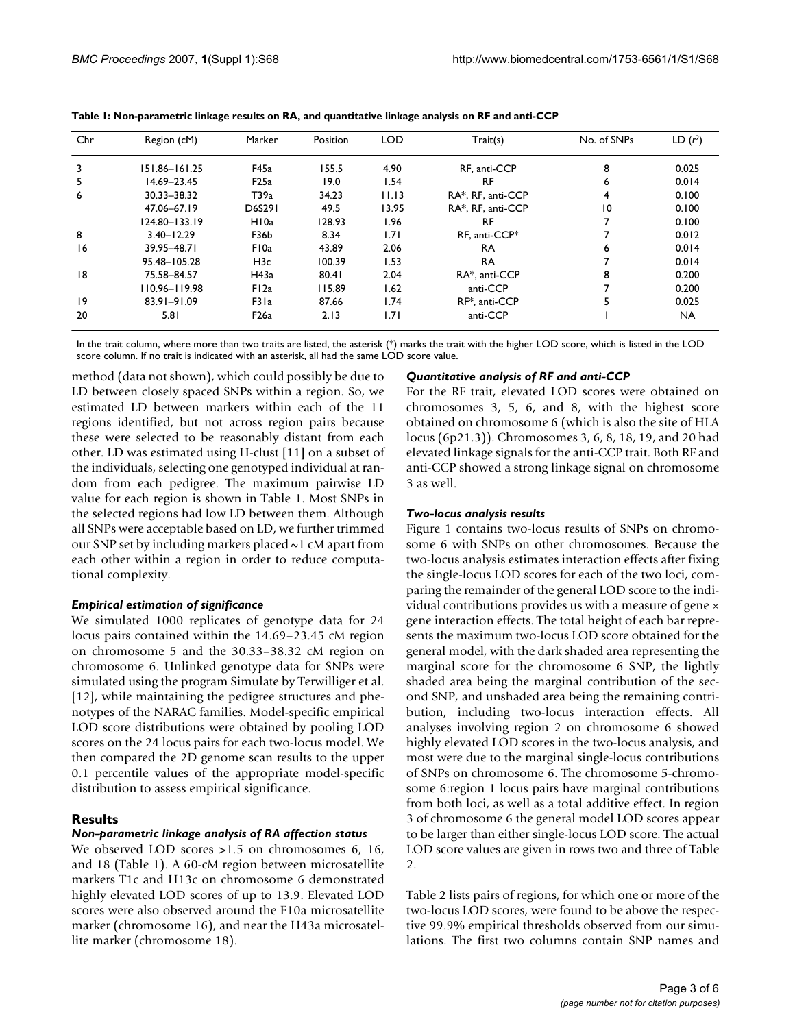| Chr | Region (cM)    | Marker           | Position | <b>LOD</b> | Train(s)          | No. of SNPs     | LD(r <sup>2</sup> ) |
|-----|----------------|------------------|----------|------------|-------------------|-----------------|---------------------|
| 3   | 151.86-161.25  | F45a             | 155.5    | 4.90       | RF. anti-CCP      | 8               | 0.025               |
| 5.  | 14.69-23.45    | F25a             | 19.0     | 1.54       | RF                | 6               | 0.014               |
| 6   | 30.33-38.32    | T39a             | 34.23    | 11.13      | RA*, RF, anti-CCP | 4               | 0.100               |
|     | 47.06-67.19    | D6S291           | 49.5     | 13.95      | RA*, RF, anti-CCP | $\overline{10}$ | 0.100               |
|     | 124.80-133.19  | H <sub>10a</sub> | 128.93   | 1.96       | RF                |                 | 0.100               |
| 8   | $3.40 - 12.29$ | F36b             | 8.34     | 1.71       | RF. anti-CCP*     |                 | 0.012               |
| 16  | 39.95-48.71    | F10a             | 43.89    | 2.06       | RA                | 6               | 0.014               |
|     | 95.48-105.28   | H <sub>3</sub> c | 100.39   | 1.53       | <b>RA</b>         |                 | 0.014               |
| 18  | 75.58-84.57    | H43a             | 80.41    | 2.04       | RA*. anti-CCP     | 8               | 0.200               |
|     | 110.96-119.98  | FI2a             | 115.89   | 1.62       | anti-CCP          |                 | 0.200               |
| 9   | 83.91-91.09    | F31a             | 87.66    | 1.74       | RF*, anti-CCP     |                 | 0.025               |
| 20  | 5.81           | F <sub>26a</sub> | 2.13     | 1.71       | anti-CCP          |                 | <b>NA</b>           |

**Table 1: Non-parametric linkage results on RA, and quantitative linkage analysis on RF and anti-CCP**

In the trait column, where more than two traits are listed, the asterisk (\*) marks the trait with the higher LOD score, which is listed in the LOD score column. If no trait is indicated with an asterisk, all had the same LOD score value.

method (data not shown), which could possibly be due to LD between closely spaced SNPs within a region. So, we estimated LD between markers within each of the 11 regions identified, but not across region pairs because these were selected to be reasonably distant from each other. LD was estimated using H-clust [11] on a subset of the individuals, selecting one genotyped individual at random from each pedigree. The maximum pairwise LD value for each region is shown in Table 1. Most SNPs in the selected regions had low LD between them. Although all SNPs were acceptable based on LD, we further trimmed our SNP set by including markers placed ~1 cM apart from each other within a region in order to reduce computational complexity.

#### *Empirical estimation of significance*

We simulated 1000 replicates of genotype data for 24 locus pairs contained within the 14.69–23.45 cM region on chromosome 5 and the 30.33–38.32 cM region on chromosome 6. Unlinked genotype data for SNPs were simulated using the program Simulate by Terwilliger et al. [12], while maintaining the pedigree structures and phenotypes of the NARAC families. Model-specific empirical LOD score distributions were obtained by pooling LOD scores on the 24 locus pairs for each two-locus model. We then compared the 2D genome scan results to the upper 0.1 percentile values of the appropriate model-specific distribution to assess empirical significance.

#### **Results**

#### *Non-parametric linkage analysis of RA affection status*

We observed LOD scores > 1.5 on chromosomes 6, 16, and 18 (Table 1). A 60-cM region between microsatellite markers T1c and H13c on chromosome 6 demonstrated highly elevated LOD scores of up to 13.9. Elevated LOD scores were also observed around the F10a microsatellite marker (chromosome 16), and near the H43a microsatellite marker (chromosome 18).

#### *Quantitative analysis of RF and anti-CCP*

For the RF trait, elevated LOD scores were obtained on chromosomes 3, 5, 6, and 8, with the highest score obtained on chromosome 6 (which is also the site of HLA locus (6p21.3)). Chromosomes 3, 6, 8, 18, 19, and 20 had elevated linkage signals for the anti-CCP trait. Both RF and anti-CCP showed a strong linkage signal on chromosome 3 as well.

#### *Two-locus analysis results*

Figure 1 contains two-locus results of SNPs on chromosome 6 with SNPs on other chromosomes. Because the two-locus analysis estimates interaction effects after fixing the single-locus LOD scores for each of the two loci, comparing the remainder of the general LOD score to the individual contributions provides us with a measure of gene × gene interaction effects. The total height of each bar represents the maximum two-locus LOD score obtained for the general model, with the dark shaded area representing the marginal score for the chromosome 6 SNP, the lightly shaded area being the marginal contribution of the second SNP, and unshaded area being the remaining contribution, including two-locus interaction effects. All analyses involving region 2 on chromosome 6 showed highly elevated LOD scores in the two-locus analysis, and most were due to the marginal single-locus contributions of SNPs on chromosome 6. The chromosome 5-chromosome 6:region 1 locus pairs have marginal contributions from both loci, as well as a total additive effect. In region 3 of chromosome 6 the general model LOD scores appear to be larger than either single-locus LOD score. The actual LOD score values are given in rows two and three of Table 2.

Table 2 lists pairs of regions, for which one or more of the two-locus LOD scores, were found to be above the respective 99.9% empirical thresholds observed from our simulations. The first two columns contain SNP names and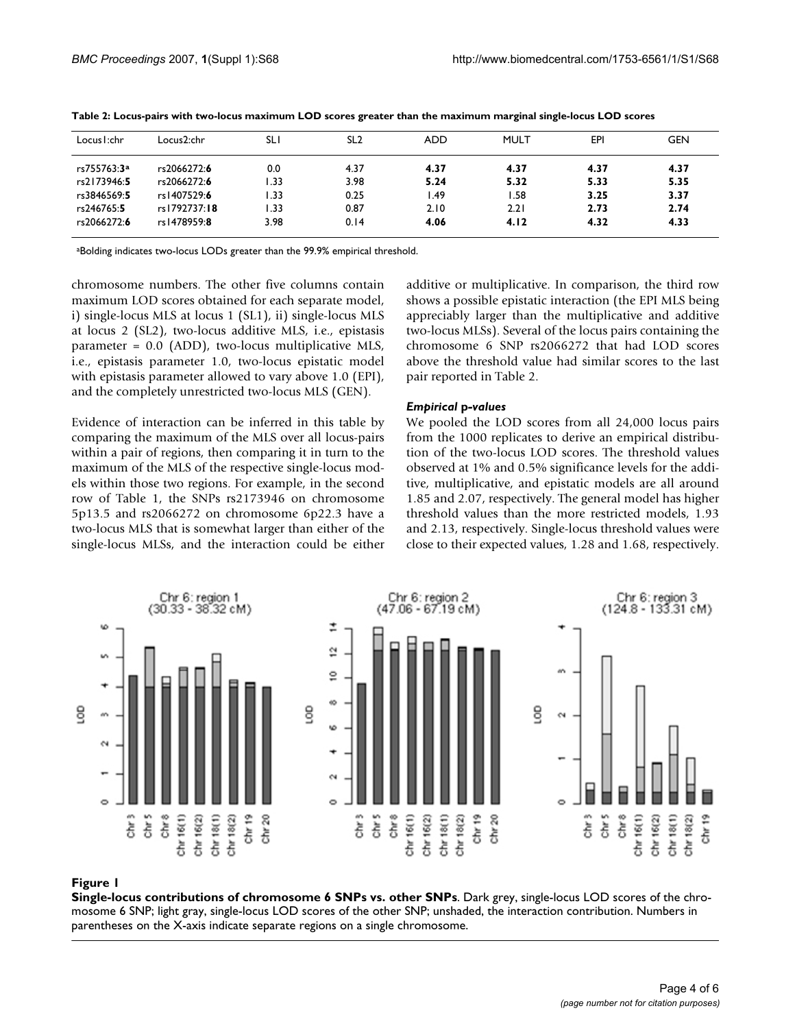| Locus I:chr | Locus2:chr   | <b>SLI</b> | SL <sub>2</sub> | <b>ADD</b> | <b>MULT</b> | EPI  | <b>GEN</b> |
|-------------|--------------|------------|-----------------|------------|-------------|------|------------|
| rs755763:3ª | rs2066272:6  | 0.0        | 4.37            | 4.37       | 4.37        | 4.37 | 4.37       |
| rs2173946:5 | rs2066272:6  | .33        | 3.98            | 5.24       | 5.32        | 5.33 | 5.35       |
| rs3846569:5 | rs1407529:6  | .33        | 0.25            | l.49       | . 58        | 3.25 | 3.37       |
| rs246765:5  | rs1792737:18 | .33        | 0.87            | 2.10       | 2.21        | 2.73 | 2.74       |
| rs2066272:6 | rs1478959:8  | 3.98       | 0.14            | 4.06       | 4.12        | 4.32 | 4.33       |

**Table 2: Locus-pairs with two-locus maximum LOD scores greater than the maximum marginal single-locus LOD scores**

aBolding indicates two-locus LODs greater than the 99.9% empirical threshold.

chromosome numbers. The other five columns contain maximum LOD scores obtained for each separate model, i) single-locus MLS at locus 1 (SL1), ii) single-locus MLS at locus 2 (SL2), two-locus additive MLS, i.e., epistasis parameter = 0.0 (ADD), two-locus multiplicative MLS, i.e., epistasis parameter 1.0, two-locus epistatic model with epistasis parameter allowed to vary above 1.0 (EPI), and the completely unrestricted two-locus MLS (GEN).

Evidence of interaction can be inferred in this table by comparing the maximum of the MLS over all locus-pairs within a pair of regions, then comparing it in turn to the maximum of the MLS of the respective single-locus models within those two regions. For example, in the second row of Table 1, the SNPs rs2173946 on chromosome 5p13.5 and rs2066272 on chromosome 6p22.3 have a two-locus MLS that is somewhat larger than either of the single-locus MLSs, and the interaction could be either additive or multiplicative. In comparison, the third row shows a possible epistatic interaction (the EPI MLS being appreciably larger than the multiplicative and additive two-locus MLSs). Several of the locus pairs containing the chromosome 6 SNP rs2066272 that had LOD scores above the threshold value had similar scores to the last pair reported in Table 2.

#### *Empirical* **p***-values*

We pooled the LOD scores from all 24,000 locus pairs from the 1000 replicates to derive an empirical distribution of the two-locus LOD scores. The threshold values observed at 1% and 0.5% significance levels for the additive, multiplicative, and epistatic models are all around 1.85 and 2.07, respectively. The general model has higher threshold values than the more restricted models, 1.93 and 2.13, respectively. Single-locus threshold values were close to their expected values, 1.28 and 1.68, respectively.



#### Figure 1

**Single-locus contributions of chromosome 6 SNPs vs. other SNPs**. Dark grey, single-locus LOD scores of the chromosome 6 SNP; light gray, single-locus LOD scores of the other SNP; unshaded, the interaction contribution. Numbers in parentheses on the X-axis indicate separate regions on a single chromosome.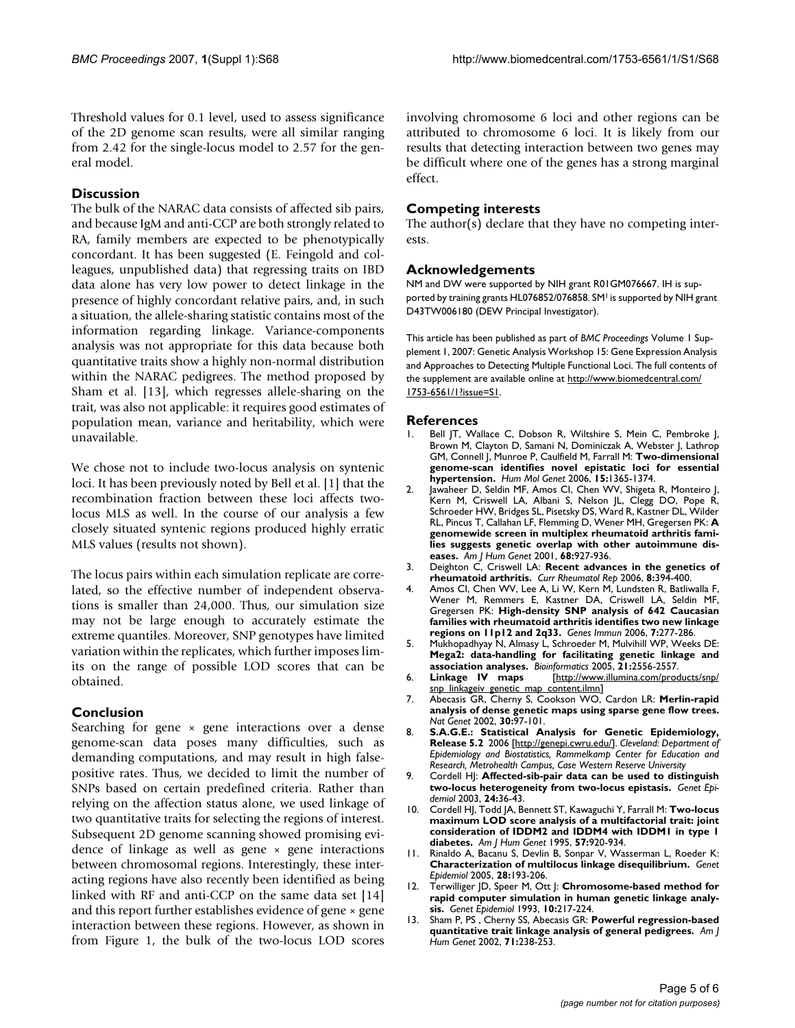Threshold values for 0.1 level, used to assess significance of the 2D genome scan results, were all similar ranging from 2.42 for the single-locus model to 2.57 for the general model.

### **Discussion**

The bulk of the NARAC data consists of affected sib pairs, and because IgM and anti-CCP are both strongly related to RA, family members are expected to be phenotypically concordant. It has been suggested (E. Feingold and colleagues, unpublished data) that regressing traits on IBD data alone has very low power to detect linkage in the presence of highly concordant relative pairs, and, in such a situation, the allele-sharing statistic contains most of the information regarding linkage. Variance-components analysis was not appropriate for this data because both quantitative traits show a highly non-normal distribution within the NARAC pedigrees. The method proposed by Sham et al. [13], which regresses allele-sharing on the trait, was also not applicable: it requires good estimates of population mean, variance and heritability, which were unavailable.

We chose not to include two-locus analysis on syntenic loci. It has been previously noted by Bell et al. [1] that the recombination fraction between these loci affects twolocus MLS as well. In the course of our analysis a few closely situated syntenic regions produced highly erratic MLS values (results not shown).

The locus pairs within each simulation replicate are correlated, so the effective number of independent observations is smaller than 24,000. Thus, our simulation size may not be large enough to accurately estimate the extreme quantiles. Moreover, SNP genotypes have limited variation within the replicates, which further imposes limits on the range of possible LOD scores that can be obtained.

#### **Conclusion**

Searching for gene  $\times$  gene interactions over a dense genome-scan data poses many difficulties, such as demanding computations, and may result in high falsepositive rates. Thus, we decided to limit the number of SNPs based on certain predefined criteria. Rather than relying on the affection status alone, we used linkage of two quantitative traits for selecting the regions of interest. Subsequent 2D genome scanning showed promising evidence of linkage as well as gene  $\times$  gene interactions between chromosomal regions. Interestingly, these interacting regions have also recently been identified as being linked with RF and anti-CCP on the same data set [14] and this report further establishes evidence of gene × gene interaction between these regions. However, as shown in from Figure 1, the bulk of the two-locus LOD scores involving chromosome 6 loci and other regions can be attributed to chromosome 6 loci. It is likely from our results that detecting interaction between two genes may be difficult where one of the genes has a strong marginal effect.

#### **Competing interests**

The author(s) declare that they have no competing interests.

#### **Acknowledgements**

NM and DW were supported by NIH grant R01GM076667. IH is supported by training grants HL076852/076858. SM<sup>1</sup> is supported by NIH grant D43TW006180 (DEW Principal Investigator).

This article has been published as part of *BMC Proceedings* Volume 1 Supplement 1, 2007: Genetic Analysis Workshop 15: Gene Expression Analysis and Approaches to Detecting Multiple Functional Loci. The full contents of the supplement are available online at [http://www.biomedcentral.com/](http://www.biomedcentral.com/1753-6561/1?issue=S1) [1753-6561/1?issue=S1.](http://www.biomedcentral.com/1753-6561/1?issue=S1)

#### **References**

- Bell JT, Wallace C, Dobson R, Wiltshire S, Mein C, Pembroke J, Brown M, Clayton D, Samani N, Dominiczak A, Webster J, Lathrop GM, Connell J, Munroe P, Caulfield M, Farrall M: **[Two-dimensional](http://www.ncbi.nlm.nih.gov/entrez/query.fcgi?cmd=Retrieve&db=PubMed&dopt=Abstract&list_uids=16543358) [genome-scan identifies novel epistatic loci for essential](http://www.ncbi.nlm.nih.gov/entrez/query.fcgi?cmd=Retrieve&db=PubMed&dopt=Abstract&list_uids=16543358) [hypertension.](http://www.ncbi.nlm.nih.gov/entrez/query.fcgi?cmd=Retrieve&db=PubMed&dopt=Abstract&list_uids=16543358)** *Hum Mol Genet* 2006, **15:**1365-1374.
- Jawaheer D, Seldin MF, Amos CI, Chen WV, Shigeta R, Monteiro J, Kern M, Criswell LA, Albani S, Nelson JL, Clegg DO, Pope R, Schroeder HW, Bridges SL, Pisetsky DS, Ward R, Kastner DL, Wilder RL, Pincus T, Callahan LF, Flemming D, Wener MH, Gregersen PK: **[A](http://www.ncbi.nlm.nih.gov/entrez/query.fcgi?cmd=Retrieve&db=PubMed&dopt=Abstract&list_uids=11254450) [genomewide screen in multiplex rheumatoid arthritis fami](http://www.ncbi.nlm.nih.gov/entrez/query.fcgi?cmd=Retrieve&db=PubMed&dopt=Abstract&list_uids=11254450)lies suggests genetic overlap with other autoimmune dis[eases.](http://www.ncbi.nlm.nih.gov/entrez/query.fcgi?cmd=Retrieve&db=PubMed&dopt=Abstract&list_uids=11254450)** *Am J Hum Genet* 2001, **68:**927-936.
- 3. Deighton C, Criswell LA: **[Recent advances in the genetics of](http://www.ncbi.nlm.nih.gov/entrez/query.fcgi?cmd=Retrieve&db=PubMed&dopt=Abstract&list_uids=16973114) [rheumatoid arthritis.](http://www.ncbi.nlm.nih.gov/entrez/query.fcgi?cmd=Retrieve&db=PubMed&dopt=Abstract&list_uids=16973114)** *Curr Rheumatol Rep* 2006, **8:**394-400.
- 4. Amos CI, Chen WV, Lee A, Li W, Kern M, Lundsten R, Batliwalla F, Wener M, Remmers E, Kastner DA, Criswell LA, Seldin MF, Gregersen PK: **[High-density SNP analysis of 642 Caucasian](http://www.ncbi.nlm.nih.gov/entrez/query.fcgi?cmd=Retrieve&db=PubMed&dopt=Abstract&list_uids=16691188) [families with rheumatoid arthritis identifies two new linkage](http://www.ncbi.nlm.nih.gov/entrez/query.fcgi?cmd=Retrieve&db=PubMed&dopt=Abstract&list_uids=16691188) [regions on 11p12 and 2q33.](http://www.ncbi.nlm.nih.gov/entrez/query.fcgi?cmd=Retrieve&db=PubMed&dopt=Abstract&list_uids=16691188)** *Genes Immun* 2006, **7:**277-286.
- 5. Mukhopadhyay N, Almasy L, Schroeder M, Mulvihill WP, Weeks DE: **[Mega2: data-handling for facilitating genetic linkage and](http://www.ncbi.nlm.nih.gov/entrez/query.fcgi?cmd=Retrieve&db=PubMed&dopt=Abstract&list_uids=15746282) [association analyses.](http://www.ncbi.nlm.nih.gov/entrez/query.fcgi?cmd=Retrieve&db=PubMed&dopt=Abstract&list_uids=15746282)** *Bioinformatics* 2005, **21:**2556-2557.
- 6. **Linkage IV maps** [\[http://www.illumina.com/products/snp/](http://www.illumina.com/products/snp/snp_linkageiv_genetic_map_content.ilmn) [snp\\_linkageiv\\_genetic\\_map\\_content.ilmn](http://www.illumina.com/products/snp/snp_linkageiv_genetic_map_content.ilmn)]
- 7. Abecasis GR, Cherny S, Cookson WO, Cardon LR: **[Merlin-rapid](http://www.ncbi.nlm.nih.gov/entrez/query.fcgi?cmd=Retrieve&db=PubMed&dopt=Abstract&list_uids=11731797) [analysis of dense genetic maps using sparse gene flow trees.](http://www.ncbi.nlm.nih.gov/entrez/query.fcgi?cmd=Retrieve&db=PubMed&dopt=Abstract&list_uids=11731797)** *Nat Genet* 2002, **30:**97-101.
- 8. **S.A.G.E.: Statistical Analysis for Genetic Epidemiology, Release 5.2** 2006 [<http://genepi.cwru.edu/>]. *Cleveland: Department of Epidemiology and Biostatistics, Rammelkamp Center for Education and Research, Metrohealth Campus, Case Western Reserve University*
- 9. Cordell HJ: **[Affected-sib-pair data can be used to distinguish](http://www.ncbi.nlm.nih.gov/entrez/query.fcgi?cmd=Retrieve&db=PubMed&dopt=Abstract&list_uids=12508254) [two-locus heterogeneity from two-locus epistasis.](http://www.ncbi.nlm.nih.gov/entrez/query.fcgi?cmd=Retrieve&db=PubMed&dopt=Abstract&list_uids=12508254)** *Genet Epidemiol* 2003, **24:**36-43.
- 10. Cordell HJ, Todd JA, Bennett ST, Kawaguchi Y, Farrall M: **[Two-locus](http://www.ncbi.nlm.nih.gov/entrez/query.fcgi?cmd=Retrieve&db=PubMed&dopt=Abstract&list_uids=7573054) [maximum LOD score analysis of a multifactorial trait: joint](http://www.ncbi.nlm.nih.gov/entrez/query.fcgi?cmd=Retrieve&db=PubMed&dopt=Abstract&list_uids=7573054) consideration of IDDM2 and IDDM4 with IDDM1 in type 1 [diabetes.](http://www.ncbi.nlm.nih.gov/entrez/query.fcgi?cmd=Retrieve&db=PubMed&dopt=Abstract&list_uids=7573054)** *Am J Hum Genet* 1995, **57:**920-934.
- 11. Rinaldo A, Bacanu S, Devlin B, Sonpar V, Wasserman L, Roeder K: **[Characterization of multilocus linkage disequilibrium.](http://www.ncbi.nlm.nih.gov/entrez/query.fcgi?cmd=Retrieve&db=PubMed&dopt=Abstract&list_uids=15637716)** *Genet Epidemiol* 2005, **28:**193-206.
- 12. Terwilliger JD, Speer M, Ott J: **[Chromosome-based method for](http://www.ncbi.nlm.nih.gov/entrez/query.fcgi?cmd=Retrieve&db=PubMed&dopt=Abstract&list_uids=8224802) [rapid computer simulation in human genetic linkage analy](http://www.ncbi.nlm.nih.gov/entrez/query.fcgi?cmd=Retrieve&db=PubMed&dopt=Abstract&list_uids=8224802)[sis.](http://www.ncbi.nlm.nih.gov/entrez/query.fcgi?cmd=Retrieve&db=PubMed&dopt=Abstract&list_uids=8224802)** *Genet Epidemiol* 1993, **10:**217-224.
- 13. Sham P, PS , Cherny SS, Abecasis GR: **[Powerful regression-based](http://www.ncbi.nlm.nih.gov/entrez/query.fcgi?cmd=Retrieve&db=PubMed&dopt=Abstract&list_uids=12111667) [quantitative trait linkage analysis of general pedigrees.](http://www.ncbi.nlm.nih.gov/entrez/query.fcgi?cmd=Retrieve&db=PubMed&dopt=Abstract&list_uids=12111667)** *Am J Hum Genet* 2002, **71:**238-253.